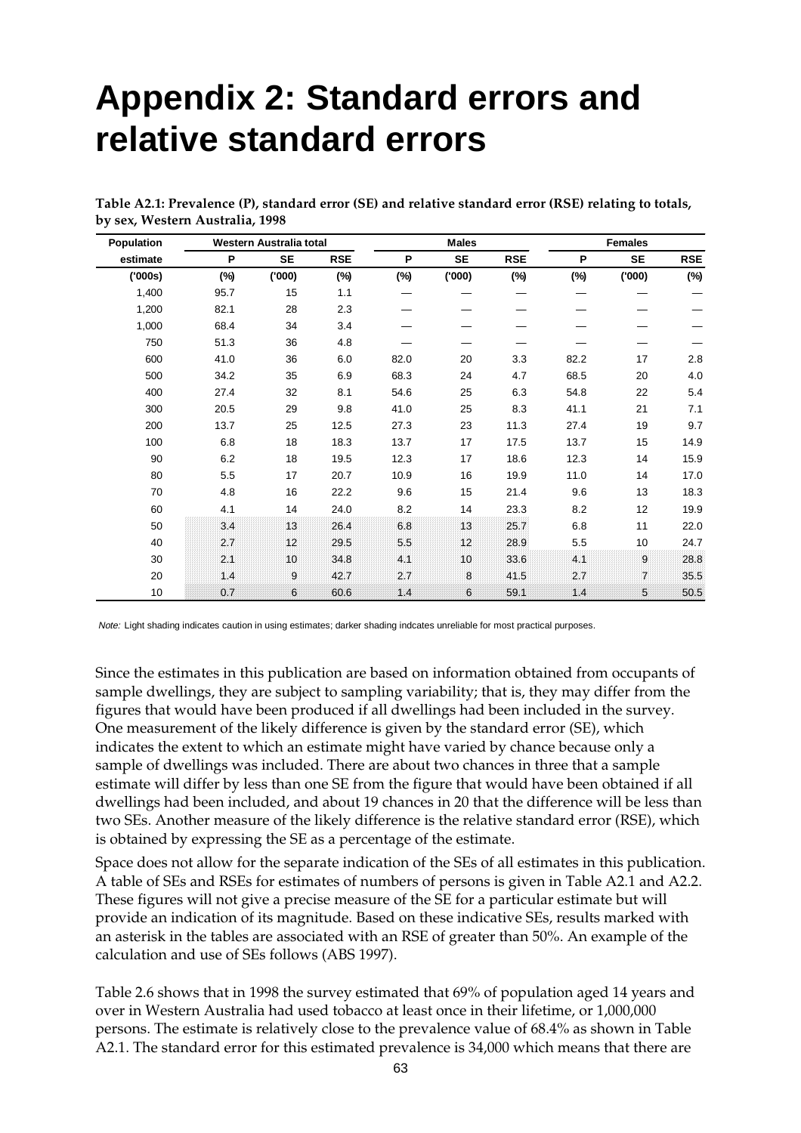## **Appendix 2: Standard errors and relative standard errors**

| Population |      | Western Australia total |            |        | <b>Males</b> |            | <b>Females</b> |                 |            |  |
|------------|------|-------------------------|------------|--------|--------------|------------|----------------|-----------------|------------|--|
| estimate   | P    | <b>SE</b>               | <b>RSE</b> | P      | <b>SE</b>    | <b>RSE</b> | P              | <b>SE</b>       | <b>RSE</b> |  |
| ('000s)    | (%)  | (000)                   | $(\%)$     | $(\%)$ | (000)        | (%)        | $(\%)$         | (000)           | $(\%)$     |  |
| 1,400      | 95.7 | 15                      | 1.1        |        |              |            |                |                 |            |  |
| 1,200      | 82.1 | 28                      | 2.3        |        |              |            |                |                 |            |  |
| 1,000      | 68.4 | 34                      | 3.4        |        |              |            |                |                 |            |  |
| 750        | 51.3 | 36                      | 4.8        |        |              |            |                |                 |            |  |
| 600        | 41.0 | 36                      | 6.0        | 82.0   | 20           | 3.3        | 82.2           | 17              | 2.8        |  |
| 500        | 34.2 | 35                      | 6.9        | 68.3   | 24           | 4.7        | 68.5           | 20              | 4.0        |  |
| 400        | 27.4 | 32                      | 8.1        | 54.6   | 25           | 6.3        | 54.8           | 22              | 5.4        |  |
| 300        | 20.5 | 29                      | 9.8        | 41.0   | 25           | 8.3        | 41.1           | 21              | 7.1        |  |
| 200        | 13.7 | 25                      | 12.5       | 27.3   | 23           | 11.3       | 27.4           | 19              | 9.7        |  |
| 100        | 6.8  | 18                      | 18.3       | 13.7   | 17           | 17.5       | 13.7           | 15              | 14.9       |  |
| 90         | 6.2  | 18                      | 19.5       | 12.3   | 17           | 18.6       | 12.3           | 14              | 15.9       |  |
| 80         | 5.5  | 17                      | 20.7       | 10.9   | 16           | 19.9       | 11.0           | 14              | 17.0       |  |
| 70         | 4.8  | 16                      | 22.2       | 9.6    | 15           | 21.4       | 9.6            | 13              | 18.3       |  |
| 60         | 4.1  | 14                      | 24.0       | 8.2    | 14           | 23.3       | 8.2            | 12              | 19.9       |  |
| 50         | 34   | 13                      | 26.4       | 6.8    | 13           | 25.7       | 6.8            | 11              | 22.0       |  |
| 40         | 2.7  | 12 <sub>2</sub>         | 29.5       | 5.5    | 12           | 28.9       | 5.5            | 10 <sup>1</sup> | 24.7       |  |
| 30         | 2.1  | 10                      | 34.8       | 4.1    | 10           | 33.6       | 4.1            | 9               | 28.8       |  |
| 20         | 14   | 9                       | 42.7       | 2.7    | 8            | 41.5       | 27             | $\overline{7}$  | 35.5       |  |
| 10         | 0.7  | 6                       | 60.6       | 14     | 6.           | 59.1       | 1.4            | 5.              | 50.5       |  |

**Table A2.1: Prevalence (P), standard error (SE) and relative standard error (RSE) relating to totals, by sex, Western Australia, 1998**

Note: Light shading indicates caution in using estimates; darker shading indcates unreliable for most practical purposes.

Since the estimates in this publication are based on information obtained from occupants of sample dwellings, they are subject to sampling variability; that is, they may differ from the figures that would have been produced if all dwellings had been included in the survey. One measurement of the likely difference is given by the standard error (SE), which indicates the extent to which an estimate might have varied by chance because only a sample of dwellings was included. There are about two chances in three that a sample estimate will differ by less than one SE from the figure that would have been obtained if all dwellings had been included, and about 19 chances in 20 that the difference will be less than two SEs. Another measure of the likely difference is the relative standard error (RSE), which is obtained by expressing the SE as a percentage of the estimate.

Space does not allow for the separate indication of the SEs of all estimates in this publication. A table of SEs and RSEs for estimates of numbers of persons is given in Table A2.1 and A2.2. These figures will not give a precise measure of the SE for a particular estimate but will provide an indication of its magnitude. Based on these indicative SEs, results marked with an asterisk in the tables are associated with an RSE of greater than 50%. An example of the calculation and use of SEs follows (ABS 1997).

Table 2.6 shows that in 1998 the survey estimated that 69% of population aged 14 years and over in Western Australia had used tobacco at least once in their lifetime, or 1,000,000 persons. The estimate is relatively close to the prevalence value of 68.4% as shown in Table A2.1. The standard error for this estimated prevalence is 34,000 which means that there are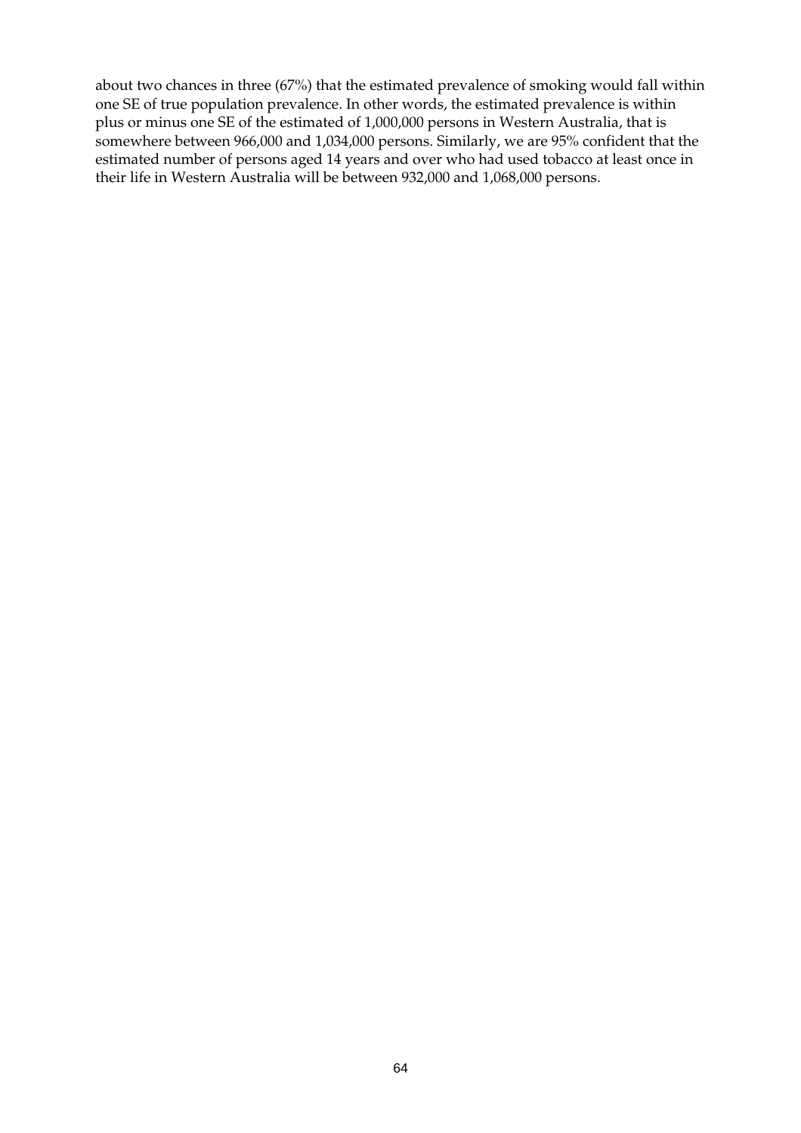about two chances in three (67%) that the estimated prevalence of smoking would fall within one SE of true population prevalence. In other words, the estimated prevalence is within plus or minus one SE of the estimated of 1,000,000 persons in Western Australia, that is somewhere between 966,000 and 1,034,000 persons. Similarly, we are 95% confident that the estimated number of persons aged 14 years and over who had used tobacco at least once in their life in Western Australia will be between 932,000 and 1,068,000 persons.